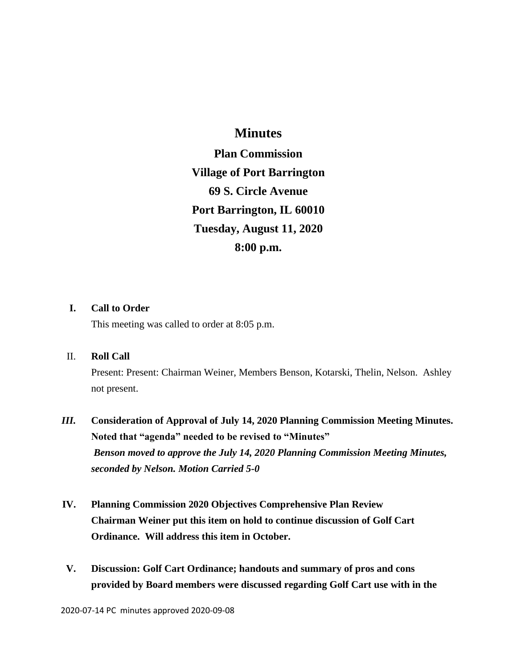## **Minutes**

**Plan Commission Village of Port Barrington 69 S. Circle Avenue Port Barrington, IL 60010 Tuesday, August 11, 2020 8:00 p.m.**

### **I. Call to Order**

This meeting was called to order at 8:05 p.m.

### II. **Roll Call**

Present: Present: Chairman Weiner, Members Benson, Kotarski, Thelin, Nelson. Ashley not present.

# *III.* **Consideration of Approval of July 14, 2020 Planning Commission Meeting Minutes. Noted that "agenda" needed to be revised to "Minutes"** *Benson moved to approve the July 14, 2020 Planning Commission Meeting Minutes, seconded by Nelson. Motion Carried 5-0*

- **IV. Planning Commission 2020 Objectives Comprehensive Plan Review Chairman Weiner put this item on hold to continue discussion of Golf Cart Ordinance. Will address this item in October.**
- **V. Discussion: Golf Cart Ordinance; handouts and summary of pros and cons provided by Board members were discussed regarding Golf Cart use with in the**